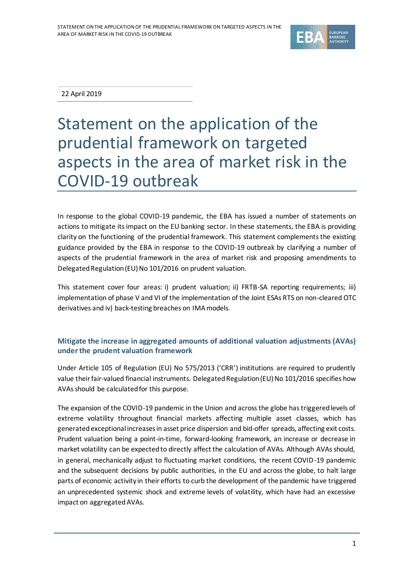

22 April 2019

# Statement on the application of the prudential framework on targeted aspects in the area of market risk in the COVID-19 outbreak

In response to the global COVID-19 pandemic, the EBA has issued a number of statements on actions to mitigate its impact on the EU banking sector. In these statements, the EBA is providing clarity on the functioning of the prudential framework. This statement complements the existing guidance provided by the EBA in response to the COVID-19 outbreak by clarifying a number of aspects of the prudential framework in the area of market risk and proposing amendments to Delegated Regulation (EU) No 101/2016 on prudent valuation.

This statement cover four areas: i) prudent valuation; ii) FRTB-SA reporting requirements; iii) implementation of phase V and VI of the implementation of the Joint ESAs RTS on non-cleared OTC derivatives and iv) back-testing breaches on IMA models.

## **Mitigate the increase in aggregated amounts of additional valuation adjustments (AVAs) under the prudent valuation framework**

Under Article 105 of Regulation (EU) No 575/2013 ('CRR') institutions are required to prudently value their fair-valued financial instruments. Delegated Regulation (EU) No 101/2016 specifies how AVAs should be calculated for this purpose.

The expansion of the COVID-19 pandemic in the Union and across the globe has triggered levels of extreme volatility throughout financial markets affecting multiple asset classes, which has generated exceptional increases in asset price dispersion and bid-offer spreads, affecting exit costs. Prudent valuation being a point-in-time, forward-looking framework, an increase or decrease in market volatility can be expected to directly affect the calculation of AVAs. Although AVAs should, in general, mechanically adjust to fluctuating market conditions, the recent COVID-19 pandemic and the subsequent decisions by public authorities, in the EU and across the globe, to halt large parts of economic activity in their efforts to curb the development of the pandemic have triggered an unprecedented systemic shock and extreme levels of volatility, which have had an excessive impact on aggregatedAVAs.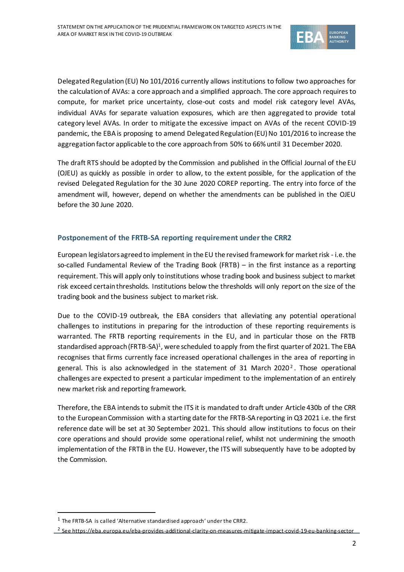

Delegated Regulation (EU) No 101/2016 currently allows institutions to follow two approaches for the calculation of AVAs: a core approach and a simplified approach. The core approach requires to compute, for market price uncertainty, close-out costs and model risk category level AVAs, individual AVAs for separate valuation exposures, which are then aggregated to provide total category level AVAs. In order to mitigate the excessive impact on AVAs of the recent COVID-19 pandemic, the EBA is proposing to amend Delegated Regulation (EU) No 101/2016 to increase the aggregation factor applicable to the core approach from 50% to 66% until 31 December 2020.

The draft RTS should be adopted by the Commission and published in the Official Journal of the EU (OJEU) as quickly as possible in order to allow, to the extent possible, for the application of the revised Delegated Regulation for the 30 June 2020 COREP reporting. The entry into force of the amendment will, however, depend on whether the amendments can be published in the OJEU before the 30 June 2020.

#### **Postponement of the FRTB-SA reporting requirement under the CRR2**

European legislators agreed to implement in the EU the revised framework for market risk - i.e. the so-called Fundamental Review of the Trading Book (FRTB) – in the first instance as a reporting requirement. This will apply only to institutions whose trading book and business subject to market risk exceed certain thresholds. Institutions below the thresholds will only report on the size of the trading book and the business subject to market risk.

Due to the COVID-19 outbreak, the EBA considers that alleviating any potential operational challenges to institutions in preparing for the introduction of these reporting requirements is warranted. The FRTB reporting requirements in the EU, and in particular those on the FRTB standardised approach (FRTB-SA)<sup>1</sup>, were scheduled to apply from the first quarter of 2021. The EBA recognises that firms currently face increased operational challenges in the area of reporting in general. This is also acknowledged in the statement of 31 March 2020<sup>2</sup>. Those operational challenges are expected to present a particular impediment to the implementation of an entirely new market risk and reporting framework.

Therefore, the EBA intends to submit the ITS it is mandated to draft under Article 430b of the CRR to the European Commission with a starting date for the FRTB-SA reporting in Q3 2021 i.e. the first reference date will be set at 30 September 2021. This should allow institutions to focus on their core operations and should provide some operational relief, whilst not undermining the smooth implementation of the FRTB in the EU. However, the ITS will subsequently have to be adopted by the Commission.

í

 $1$  The FRTB-SA is called 'Alternative standardised approach' under the CRR2.

<sup>&</sup>lt;sup>2</sup> See https://eba.europa.eu/eba-provides-additional-clarity-on-measures-mitigate-impact-covid-19-eu-banking-sector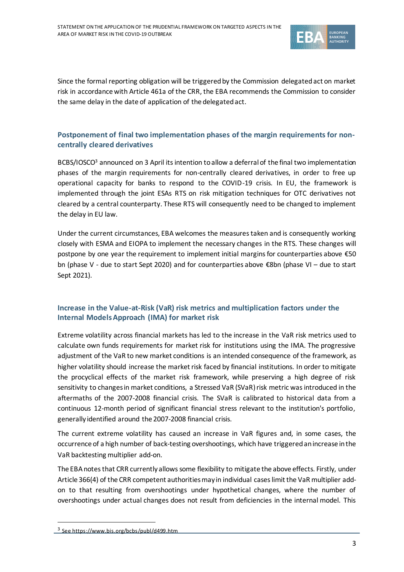

Since the formal reporting obligation will be triggered by the Commission delegated act on market risk in accordance with Article 461a of the CRR, the EBA recommends the Commission to consider the same delay in the date of application of the delegated act.

## **Postponement of final two implementation phases of the margin requirements for noncentrally cleared derivatives**

BCBS/IOSCO<sup>3</sup> announced on 3 April its intention to allow a deferral of the final two implementation phases of the margin requirements for non-centrally cleared derivatives, in order to free up operational capacity for banks to respond to the COVID-19 crisis. In EU, the framework is implemented through the joint ESAs RTS on risk mitigation techniques for OTC derivatives not cleared by a central counterparty. These RTS will consequently need to be changed to implement the delay in EU law.

Under the current circumstances, EBA welcomes the measurestaken and is consequently working closely with ESMA and EIOPA to implement the necessary changes in the RTS. These changes will postpone by one year the requirement to implement initial margins for counterparties above €50 bn (phase V - due to start Sept 2020) and for counterparties above €8bn (phase VI – due to start Sept 2021).

#### **Increase in the Value-at-Risk (VaR) risk metrics and multiplication factors under the Internal Models Approach (IMA) for market risk**

Extreme volatility across financial markets has led to the increase in the VaR risk metrics used to calculate own funds requirements for market risk for institutions using the IMA. The progressive adjustment of the VaR to new market conditions is an intended consequence of the framework, as higher volatility should increase the market risk faced by financial institutions. In order to mitigate the procyclical effects of the market risk framework, while preserving a high degree of risk sensitivity to changes in market conditions, a Stressed VaR (SVaR) risk metric was introduced in the aftermaths of the 2007-2008 financial crisis. The SVaR is calibrated to historical data from a continuous 12-month period of significant financial stress relevant to the institution's portfolio, generally identified around the 2007-2008 financial crisis.

The current extreme volatility has caused an increase in VaR figures and, in some cases, the occurrence of a high number of back-testing overshootings, which have triggeredan increase in the VaR backtesting multiplier add-on.

The EBA notes that CRR currently allows some flexibility to mitigate the above effects. Firstly, under Article 366(4) of the CRR competent authorities may in individual cases limit the VaR multiplier addon to that resulting from overshootings under hypothetical changes, where the number of overshootings under actual changes does not result from deficiencies in the internal model. This

i

<sup>&</sup>lt;sup>3</sup> See https://www.bis.org/bcbs/publ/d499.htm